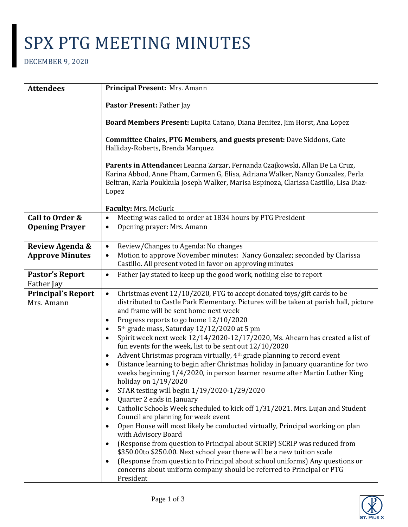## SPX PTG MEETING MINUTES

## DECEMBER 9, 2020

| <b>Attendees</b>                         | Principal Present: Mrs. Amann                                                                                                                                                                                                                                                                                                                                                                                                                                                                                                                                                                                                                                                                                                                                                                                                                                                                                                                                                                                                                                                                                                                                                                                                                                                                                                                                                                                                                                                                                                         |
|------------------------------------------|---------------------------------------------------------------------------------------------------------------------------------------------------------------------------------------------------------------------------------------------------------------------------------------------------------------------------------------------------------------------------------------------------------------------------------------------------------------------------------------------------------------------------------------------------------------------------------------------------------------------------------------------------------------------------------------------------------------------------------------------------------------------------------------------------------------------------------------------------------------------------------------------------------------------------------------------------------------------------------------------------------------------------------------------------------------------------------------------------------------------------------------------------------------------------------------------------------------------------------------------------------------------------------------------------------------------------------------------------------------------------------------------------------------------------------------------------------------------------------------------------------------------------------------|
|                                          | Pastor Present: Father Jay                                                                                                                                                                                                                                                                                                                                                                                                                                                                                                                                                                                                                                                                                                                                                                                                                                                                                                                                                                                                                                                                                                                                                                                                                                                                                                                                                                                                                                                                                                            |
|                                          | Board Members Present: Lupita Catano, Diana Benitez, Jim Horst, Ana Lopez                                                                                                                                                                                                                                                                                                                                                                                                                                                                                                                                                                                                                                                                                                                                                                                                                                                                                                                                                                                                                                                                                                                                                                                                                                                                                                                                                                                                                                                             |
|                                          | Committee Chairs, PTG Members, and guests present: Dave Siddons, Cate<br>Halliday-Roberts, Brenda Marquez                                                                                                                                                                                                                                                                                                                                                                                                                                                                                                                                                                                                                                                                                                                                                                                                                                                                                                                                                                                                                                                                                                                                                                                                                                                                                                                                                                                                                             |
|                                          | Parents in Attendance: Leanna Zarzar, Fernanda Czajkowski, Allan De La Cruz,<br>Karina Abbod, Anne Pham, Carmen G, Elisa, Adriana Walker, Nancy Gonzalez, Perla<br>Beltran, Karla Poukkula Joseph Walker, Marisa Espinoza, Clarissa Castillo, Lisa Diaz-<br>Lopez                                                                                                                                                                                                                                                                                                                                                                                                                                                                                                                                                                                                                                                                                                                                                                                                                                                                                                                                                                                                                                                                                                                                                                                                                                                                     |
|                                          | Faculty: Mrs. McGurk                                                                                                                                                                                                                                                                                                                                                                                                                                                                                                                                                                                                                                                                                                                                                                                                                                                                                                                                                                                                                                                                                                                                                                                                                                                                                                                                                                                                                                                                                                                  |
| Call to Order &<br><b>Opening Prayer</b> | Meeting was called to order at 1834 hours by PTG President<br>$\bullet$<br>Opening prayer: Mrs. Amann<br>$\bullet$                                                                                                                                                                                                                                                                                                                                                                                                                                                                                                                                                                                                                                                                                                                                                                                                                                                                                                                                                                                                                                                                                                                                                                                                                                                                                                                                                                                                                    |
| Review Agenda &                          | Review/Changes to Agenda: No changes<br>$\bullet$                                                                                                                                                                                                                                                                                                                                                                                                                                                                                                                                                                                                                                                                                                                                                                                                                                                                                                                                                                                                                                                                                                                                                                                                                                                                                                                                                                                                                                                                                     |
| <b>Approve Minutes</b>                   | Motion to approve November minutes: Nancy Gonzalez; seconded by Clarissa<br>$\bullet$<br>Castillo. All present voted in favor on approving minutes                                                                                                                                                                                                                                                                                                                                                                                                                                                                                                                                                                                                                                                                                                                                                                                                                                                                                                                                                                                                                                                                                                                                                                                                                                                                                                                                                                                    |
| <b>Pastor's Report</b><br>Father Jay     | Father Jay stated to keep up the good work, nothing else to report<br>$\bullet$                                                                                                                                                                                                                                                                                                                                                                                                                                                                                                                                                                                                                                                                                                                                                                                                                                                                                                                                                                                                                                                                                                                                                                                                                                                                                                                                                                                                                                                       |
| <b>Principal's Report</b><br>Mrs. Amann  | Christmas event 12/10/2020, PTG to accept donated toys/gift cards to be<br>$\bullet$<br>distributed to Castle Park Elementary. Pictures will be taken at parish hall, picture<br>and frame will be sent home next week<br>Progress reports to go home 12/10/2020<br>$\bullet$<br>5 <sup>th</sup> grade mass, Saturday 12/12/2020 at 5 pm<br>$\bullet$<br>Spirit week next week 12/14/2020-12/17/2020, Ms. Ahearn has created a list of<br>$\bullet$<br>fun events for the week, list to be sent out $12/10/2020$<br>Advent Christmas program virtually, 4 <sup>th</sup> grade planning to record event<br>$\bullet$<br>Distance learning to begin after Christmas holiday in January quarantine for two<br>weeks beginning 1/4/2020, in person learner resume after Martin Luther King<br>holiday on 1/19/2020<br>STAR testing will begin 1/19/2020-1/29/2020<br>$\bullet$<br>Quarter 2 ends in January<br>$\bullet$<br>Catholic Schools Week scheduled to kick off 1/31/2021. Mrs. Lujan and Student<br>$\bullet$<br>Council are planning for week event<br>Open House will most likely be conducted virtually, Principal working on plan<br>$\bullet$<br>with Advisory Board<br>(Response from question to Principal about SCRIP) SCRIP was reduced from<br>$\bullet$<br>\$350.00to \$250.00. Next school year there will be a new tuition scale<br>(Response from question to Principal about school uniforms) Any questions or<br>$\bullet$<br>concerns about uniform company should be referred to Principal or PTG<br>President |

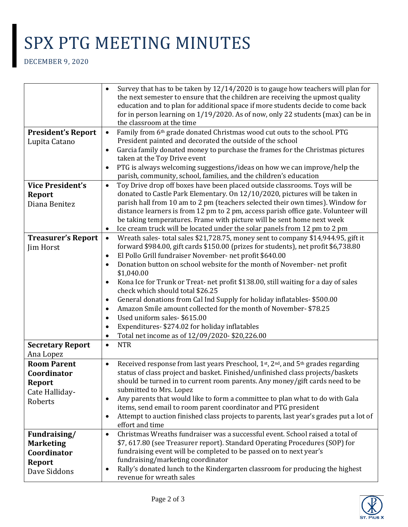## SPX PTG MEETING MINUTES

DECEMBER 9, 2020

|                           | Survey that has to be taken by $12/14/2020$ is to gauge how teachers will plan for<br>$\bullet$                                                                                     |
|---------------------------|-------------------------------------------------------------------------------------------------------------------------------------------------------------------------------------|
|                           | the next semester to ensure that the children are receiving the upmost quality<br>education and to plan for additional space if more students decide to come back                   |
|                           | for in person learning on 1/19/2020. As of now, only 22 students (max) can be in                                                                                                    |
|                           | the classroom at the time                                                                                                                                                           |
| <b>President's Report</b> | Family from 6th grade donated Christmas wood cut outs to the school. PTG<br>$\bullet$                                                                                               |
| Lupita Catano             | President painted and decorated the outside of the school                                                                                                                           |
|                           | Garcia family donated money to purchase the frames for the Christmas pictures<br>$\bullet$                                                                                          |
|                           | taken at the Toy Drive event                                                                                                                                                        |
|                           | PTG is always welcoming suggestions/ideas on how we can improve/help the<br>$\bullet$                                                                                               |
|                           | parish, community, school, families, and the children's education                                                                                                                   |
| <b>Vice President's</b>   | Toy Drive drop off boxes have been placed outside classrooms. Toys will be<br>$\bullet$                                                                                             |
| <b>Report</b>             | donated to Castle Park Elementary. On 12/10/2020, pictures will be taken in                                                                                                         |
| Diana Benitez             | parish hall from 10 am to 2 pm (teachers selected their own times). Window for                                                                                                      |
|                           | distance learners is from 12 pm to 2 pm, access parish office gate. Volunteer will                                                                                                  |
|                           | be taking temperatures. Frame with picture will be sent home next week                                                                                                              |
|                           | Ice cream truck will be located under the solar panels from 12 pm to 2 pm<br>$\bullet$                                                                                              |
| <b>Treasurer's Report</b> | Wreath sales-total sales \$21,728.75, money sent to company \$14,944.95, gift it<br>$\bullet$<br>forward \$984.00, gift cards \$150.00 (prizes for students), net profit \$6,738.80 |
| Jim Horst                 | El Pollo Grill fundraiser November- net profit \$640.00<br>$\bullet$                                                                                                                |
|                           | Donation button on school website for the month of November- net profit<br>$\bullet$                                                                                                |
|                           | \$1,040.00                                                                                                                                                                          |
|                           | Kona Ice for Trunk or Treat- net profit \$138.00, still waiting for a day of sales<br>$\bullet$                                                                                     |
|                           | check which should total \$26.25                                                                                                                                                    |
|                           | General donations from Cal Ind Supply for holiday inflatables-\$500.00<br>٠                                                                                                         |
|                           | Amazon Smile amount collected for the month of November- \$78.25<br>$\bullet$                                                                                                       |
|                           | Used uniform sales-\$615.00<br>$\bullet$                                                                                                                                            |
|                           | Expenditures-\$274.02 for holiday inflatables<br>$\bullet$                                                                                                                          |
|                           | Total net income as of 12/09/2020-\$20,226.00<br>$\bullet$                                                                                                                          |
| <b>Secretary Report</b>   | <b>NTR</b><br>$\bullet$                                                                                                                                                             |
| Ana Lopez                 |                                                                                                                                                                                     |
| <b>Room Parent</b>        | Received response from last years Preschool, 1st, 2nd, and 5th grades regarding<br>$\bullet$                                                                                        |
| Coordinator               | status of class project and basket. Finished/unfinished class projects/baskets                                                                                                      |
| <b>Report</b>             | should be turned in to current room parents. Any money/gift cards need to be                                                                                                        |
| Cate Halliday-            | submitted to Mrs. Lopez                                                                                                                                                             |
| <b>Roberts</b>            | Any parents that would like to form a committee to plan what to do with Gala<br>٠                                                                                                   |
|                           | items, send email to room parent coordinator and PTG president<br>Attempt to auction finished class projects to parents, last year's grades put a lot of<br>$\bullet$               |
|                           | effort and time                                                                                                                                                                     |
| Fundraising/              | Christmas Wreaths fundraiser was a successful event. School raised a total of<br>$\bullet$                                                                                          |
| <b>Marketing</b>          | \$7,617.80 (see Treasurer report). Standard Operating Procedures (SOP) for                                                                                                          |
| Coordinator               | fundraising event will be completed to be passed on to next year's                                                                                                                  |
| <b>Report</b>             | fundraising/marketing coordinator                                                                                                                                                   |
| Dave Siddons              | Rally's donated lunch to the Kindergarten classroom for producing the highest<br>$\bullet$                                                                                          |
|                           | revenue for wreath sales                                                                                                                                                            |